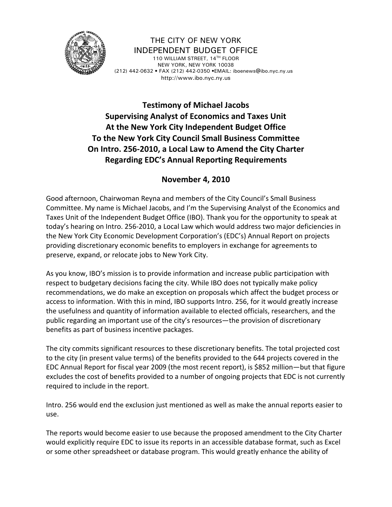

THE CITY OF NEW YORK INDEPENDENT BUDGET OFFICE 110 WILLIAM STREET, 14TH FLOOR NEW YORK, NEW YORK 10038 (212) 442-0632 • FAX (212) 442-0350 •EMAIL: iboenews@ibo.nyc.ny.us http://www.ibo.nyc.ny.us

## **Testimony of Michael Jacobs Supervising Analyst of Economics and Taxes Unit At the New York City Independent Budget Office To the New York City Council Small Business Committee On Intro. 256‐2010, a Local Law to Amend the City Charter Regarding EDC's Annual Reporting Requirements**

## **November 4, 2010**

Good afternoon, Chairwoman Reyna and members of the City Council's Small Business Committee. My name is Michael Jacobs, and I'm the Supervising Analyst of the Economics and Taxes Unit of the Independent Budget Office (IBO). Thank you for the opportunity to speak at today's hearing on Intro. 256‐2010, a Local Law which would address two major deficiencies in the New York City Economic Development Corporation's (EDC's) Annual Report on projects providing discretionary economic benefits to employers in exchange for agreements to preserve, expand, or relocate jobs to New York City.

As you know, IBO's mission is to provide information and increase public participation with respect to budgetary decisions facing the city. While IBO does not typically make policy recommendations, we do make an exception on proposals which affect the budget process or access to information. With this in mind, IBO supports Intro. 256, for it would greatly increase the usefulness and quantity of information available to elected officials, researchers, and the public regarding an important use of the city's resources—the provision of discretionary benefits as part of business incentive packages.

The city commits significant resources to these discretionary benefits. The total projected cost to the city (in present value terms) of the benefits provided to the 644 projects covered in the EDC Annual Report for fiscal year 2009 (the most recent report), is \$852 million—but that figure excludes the cost of benefits provided to a number of ongoing projects that EDC is not currently required to include in the report.

Intro. 256 would end the exclusion just mentioned as well as make the annual reports easier to use.

The reports would become easier to use because the proposed amendment to the City Charter would explicitly require EDC to issue its reports in an accessible database format, such as Excel or some other spreadsheet or database program. This would greatly enhance the ability of